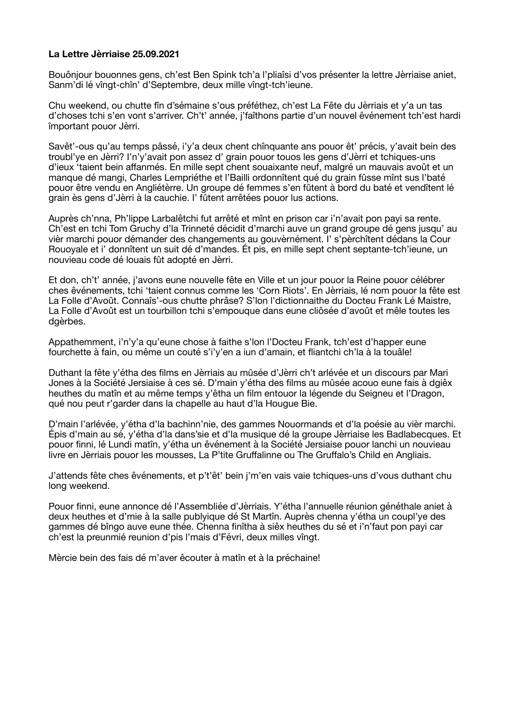## **La Lettre Jèrriaise 25.09.2021**

Bouônjour bouonnes gens, ch'est Ben Spink tch'a l'pliaîsi d'vos présenter la lettre Jèrriaise aniet, Sanm'di lé vîngt-chîn' d'Septembre, deux mille vîngt-tch'ieune.

Chu weekend, ou chutte fîn d'sémaine s'ous préféthez, ch'est La Fête du Jèrriais et y'a un tas d'choses tchi s'en vont s'arriver. Ch't' année, j'faîthons partie d'un nouvel êvénement tch'est hardi împortant pouor Jèrri.

Savêt'-ous qu'au temps pâssé, i'y'a deux chent chînquante ans pouor êt' précis, y'avait bein des troubl'ye en Jèrri? I'n'y'avait pon assez d' grain pouor touos les gens d'Jèrri et tchiques-uns d'ieux 'taient bein affanmés. En mille sept chent souaixante neuf, malgré un mauvais avoût et un manque dé mangi, Charles Lempriéthe et l'Bailli ordonnîtent qué du grain fûsse mînt sus l'baté pouor être vendu en Angliétèrre. Un groupe dé femmes s'en fûtent à bord du baté et vendîtent lé grain ès gens d'Jèrri à la cauchie. I' fûtent arrêtées pouor lus actions.

Auprès ch'nna, Ph'lippe Larbalêtchi fut arrêté et mînt en prison car i'n'avait pon payi sa rente. Ch'est en tchi Tom Gruchy d'la Trinneté décidit d'marchi auve un grand groupe dé gens jusqu' au vièr marchi pouor démander des changements au gouvèrnément. I' s'pèrchîtent dédans la Cour Rouoyale et i' donnîtent un suit dé d'mandes. Ét pis, en mille sept chent septante-tch'ieune, un nouvieau code dé louais fût adopté en Jèrri.

Et don, ch't' année, j'avons eune nouvelle fête en Ville et un jour pouor la Reine pouor célébrer ches êvénements, tchi 'taient connus comme les 'Corn Riots'. En Jèrriais, lé nom pouor la fête est La Folle d'Avoût. Connaîs'-ous chutte phrâse? S'lon l'dictionnaithe du Docteu Frank Lé Maistre, La Folle d'Avoût est un tourbillon tchi s'empouque dans eune cliôsée d'avoût et mêle toutes les dgèrbes.

Appathemment, i'n'y'a qu'eune chose à faithe s'lon l'Docteu Frank, tch'est d'happer eune fourchette à fain, ou même un couté s'i'y'en a iun d'amain, et fliantchi ch'la à la touâle!

Duthant la fête y'étha des films en Jèrriais au mûsée d'Jèrri ch't arlévée et un discours par Mari Jones à la Société Jersiaise à ces sé. D'main y'étha des films au mûsée acouo eune fais à dgiêx heuthes du matîn et au même temps y'êtha un film entouor la légende du Seigneu et l'Dragon, qué nou peut r'garder dans la chapelle au haut d'la Hougue Bie.

D'main l'arlévée, y'étha d'la bachinn'nie, des gammes Nouormands et d'la poésie au vièr marchi. Épis d'main au sé, y'étha d'la dans'sie et d'la musique dé la groupe Jèrriaise les Badlabecques. Et pouor finni, lé Lundi matîn, y'étha un êvénement à la Société Jersiaise pouor lanchi un nouvieau livre en Jèrriais pouor les mousses, La P'tite Gruffalinne ou The Gruffalo's Child en Angliais.

J'attends fête ches êvénements, et p't'êt' bein j'm'en vais vaie tchiques-uns d'vous duthant chu long weekend.

Pouor finni, eune annonce dé l'Assembliée d'Jèrriais. Y'étha l'annuelle réunion généthale aniet à deux heuthes et d'mie à la salle publyique dé St Martîn. Auprès chenna y'étha un coupl'ye des gammes dé bîngo auve eune thée. Chenna finîtha à siêx heuthes du sé et i'n'faut pon payi car ch'est la preunmié reunion d'pis l'mais d'Févri, deux milles vîngt.

Mèrcie bein des fais dé m'aver êcouter à matîn et à la préchaine!